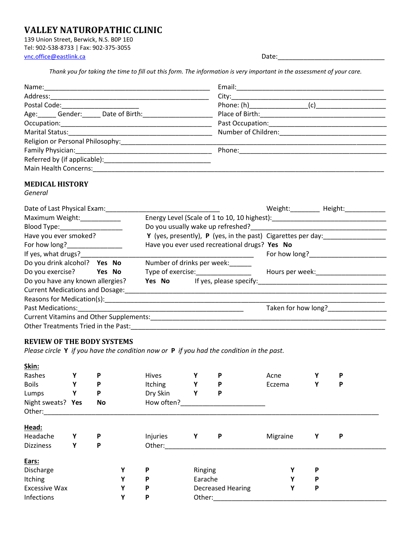# **VALLEY NATUROPATHIC CLINIC**

139 Union Street, Berwick, N.S. B0P 1E0 Tel: 902-538-8733 | Fax: 902-375-3055 [vnc.office@eastlink.ca](mailto:vnc.office@eastlink.ca)

| vate |  |
|------|--|
|      |  |

*Thank you for taking the time to fill out this form. The information is very important in the assessment of your care.*

| Postal Code: ________________________                          |                                                                                                                                        |
|----------------------------------------------------------------|----------------------------------------------------------------------------------------------------------------------------------------|
|                                                                |                                                                                                                                        |
|                                                                |                                                                                                                                        |
|                                                                |                                                                                                                                        |
| Religion or Personal Philosophy: 2000 2010 2020 2021 2022 2023 | <u> 1989 - Johann Stoff, deutscher Stoff, der Stoff, der Stoff, der Stoff, der Stoff, der Stoff, der Stoff, der S</u>                  |
|                                                                |                                                                                                                                        |
|                                                                |                                                                                                                                        |
|                                                                |                                                                                                                                        |
| <b>MEDICAL HISTORY</b>                                         |                                                                                                                                        |
| General                                                        |                                                                                                                                        |
| Date of Last Physical Exam:                                    | Weight: Height: Height: Weight:                                                                                                        |
| Maximum Weight:_____________                                   | Energy Level (Scale of 1 to 10, 10 highest): ___________________________________                                                       |
| Blood Type: _____________________                              |                                                                                                                                        |
| Have you ever smoked?                                          | Y (yes, presently), P (yes, in the past) Cigarettes per day: ___________________                                                       |
| For how long?________________                                  | Have you ever used recreational drugs? Yes No                                                                                          |
| If yes, what drugs?________                                    | For how long?<br><u> 1989 - Johann John Stoff, deutscher Stoffen und der Stoffen und der Stoffen und der Stoffen und der Stoffen u</u> |
| Do you drink alcohol? Yes No Number of drinks per week:        |                                                                                                                                        |
| Do you exercise? Yes No                                        | Type of exercise:___________________<br>Hours per week:____________________                                                            |
|                                                                |                                                                                                                                        |
|                                                                |                                                                                                                                        |
|                                                                |                                                                                                                                        |
|                                                                | Taken for how long?_________________                                                                                                   |
|                                                                |                                                                                                                                        |
|                                                                |                                                                                                                                        |

### **REVIEW OF THE BODY SYSTEMS**

*Please circle* **Y** *if you have the condition now or* **P** *if you had the condition in the past.*

| Skin:                |   |    |   |            |         |                          |          |   |   |
|----------------------|---|----|---|------------|---------|--------------------------|----------|---|---|
| Rashes               | Υ | P  |   | Hives      | Υ       | P                        | Acne     | Υ | P |
| <b>Boils</b>         | Υ | P  |   | Itching    | Υ       | P                        | Eczema   | Υ | P |
| Lumps                | Υ | P  |   | Dry Skin   | Υ       | P                        |          |   |   |
| Night sweats? Yes    |   | No |   | How often? |         |                          |          |   |   |
| Other:               |   |    |   |            |         |                          |          |   |   |
| Head:                |   |    |   |            |         |                          |          |   |   |
| Headache             | Υ | P  |   | Injuries   | Υ       | P                        | Migraine | Υ | P |
| <b>Dizziness</b>     | Υ | P  |   | Other:     |         |                          |          |   |   |
| Ears:                |   |    |   |            |         |                          |          |   |   |
| Discharge            |   |    | Υ | P          | Ringing |                          | v        | P |   |
| Itching              |   |    | Υ | P          | Earache |                          | Υ        | P |   |
| <b>Excessive Wax</b> |   |    | Y | P          |         | <b>Decreased Hearing</b> | Υ        | P |   |
| Infections           |   |    | Υ | P          | Other:  |                          |          |   |   |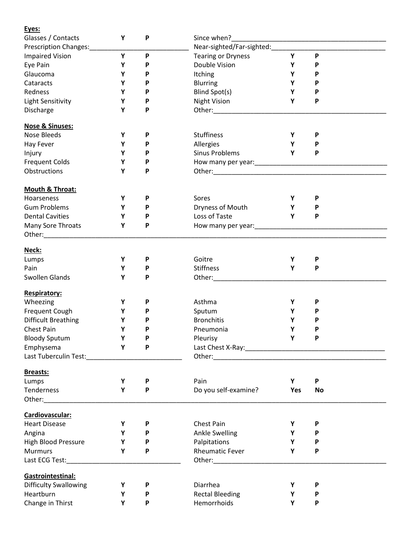## **Eyes:**

| Glasses / Contacts                                                                                                                                                                                                             | Υ | P | Since when?                                                                                                                                                                                                                    |     |              |
|--------------------------------------------------------------------------------------------------------------------------------------------------------------------------------------------------------------------------------|---|---|--------------------------------------------------------------------------------------------------------------------------------------------------------------------------------------------------------------------------------|-----|--------------|
| Prescription Changes:___________                                                                                                                                                                                               |   |   | Near-sighted/Far-sighted: _________                                                                                                                                                                                            |     |              |
| <b>Impaired Vision</b>                                                                                                                                                                                                         | Y | P | <b>Tearing or Dryness</b>                                                                                                                                                                                                      | Y   | $\mathsf{P}$ |
| Eye Pain                                                                                                                                                                                                                       | Υ | P | Double Vision                                                                                                                                                                                                                  | Υ   | P            |
| Glaucoma                                                                                                                                                                                                                       | Υ | P | Itching                                                                                                                                                                                                                        | Υ   | P            |
| Cataracts                                                                                                                                                                                                                      | Υ | P | <b>Blurring</b>                                                                                                                                                                                                                | Υ   | P            |
| Redness                                                                                                                                                                                                                        | Υ | P | Blind Spot(s)                                                                                                                                                                                                                  | Υ   | P            |
| Light Sensitivity                                                                                                                                                                                                              | Y | P | <b>Night Vision</b>                                                                                                                                                                                                            | Y   | P            |
| Discharge                                                                                                                                                                                                                      | Υ | P |                                                                                                                                                                                                                                |     |              |
|                                                                                                                                                                                                                                |   |   |                                                                                                                                                                                                                                |     |              |
| <b>Nose &amp; Sinuses:</b>                                                                                                                                                                                                     |   |   |                                                                                                                                                                                                                                |     |              |
| <b>Nose Bleeds</b>                                                                                                                                                                                                             | Y | P | <b>Stuffiness</b>                                                                                                                                                                                                              | Υ   | P            |
| <b>Hay Fever</b>                                                                                                                                                                                                               | Υ | P | Allergies                                                                                                                                                                                                                      | Y   | P            |
| Injury                                                                                                                                                                                                                         | Υ | P | <b>Sinus Problems</b>                                                                                                                                                                                                          | Y   | $\mathsf{P}$ |
| <b>Frequent Colds</b>                                                                                                                                                                                                          | Y | P |                                                                                                                                                                                                                                |     |              |
| Obstructions                                                                                                                                                                                                                   | Y | P |                                                                                                                                                                                                                                |     |              |
|                                                                                                                                                                                                                                |   |   |                                                                                                                                                                                                                                |     |              |
| Mouth & Throat:                                                                                                                                                                                                                |   |   |                                                                                                                                                                                                                                |     |              |
|                                                                                                                                                                                                                                |   |   | Sores                                                                                                                                                                                                                          |     |              |
| Hoarseness                                                                                                                                                                                                                     | Y | P |                                                                                                                                                                                                                                | Υ   | P            |
| <b>Gum Problems</b>                                                                                                                                                                                                            | Y | P | Dryness of Mouth                                                                                                                                                                                                               | Y   | P            |
| <b>Dental Cavities</b>                                                                                                                                                                                                         | Υ | P | Loss of Taste                                                                                                                                                                                                                  | Y   | $\mathsf{P}$ |
| Many Sore Throats                                                                                                                                                                                                              | Υ | P | How many per year:<br>How many per year:                                                                                                                                                                                       |     |              |
| Other: and the contract of the contract of the contract of the contract of the contract of the contract of the                                                                                                                 |   |   |                                                                                                                                                                                                                                |     |              |
|                                                                                                                                                                                                                                |   |   |                                                                                                                                                                                                                                |     |              |
| Neck:                                                                                                                                                                                                                          |   |   |                                                                                                                                                                                                                                |     |              |
| Lumps                                                                                                                                                                                                                          | Y | P | Goitre                                                                                                                                                                                                                         | Υ   | P            |
| Pain                                                                                                                                                                                                                           | Υ | P | <b>Stiffness</b>                                                                                                                                                                                                               | Y   | $\mathsf{P}$ |
| Swollen Glands                                                                                                                                                                                                                 | Υ | P |                                                                                                                                                                                                                                |     |              |
|                                                                                                                                                                                                                                |   |   |                                                                                                                                                                                                                                |     |              |
| Respiratory:                                                                                                                                                                                                                   |   |   |                                                                                                                                                                                                                                |     |              |
| Wheezing                                                                                                                                                                                                                       | Υ | P | Asthma                                                                                                                                                                                                                         | Υ   | P            |
| Frequent Cough                                                                                                                                                                                                                 | Υ | P | Sputum                                                                                                                                                                                                                         | Υ   | P            |
| <b>Difficult Breathing</b>                                                                                                                                                                                                     | Υ | P | <b>Bronchitis</b>                                                                                                                                                                                                              | Υ   | P            |
| <b>Chest Pain</b>                                                                                                                                                                                                              | Υ | P | Pneumonia                                                                                                                                                                                                                      | Υ   | P            |
| <b>Bloody Sputum</b>                                                                                                                                                                                                           | Y | P | Pleurisy                                                                                                                                                                                                                       | Y   |              |
| Emphysema                                                                                                                                                                                                                      | Y | P |                                                                                                                                                                                                                                |     |              |
| Last Tuberculin Test:________________                                                                                                                                                                                          |   |   |                                                                                                                                                                                                                                |     |              |
|                                                                                                                                                                                                                                |   |   |                                                                                                                                                                                                                                |     |              |
| <b>Breasts:</b>                                                                                                                                                                                                                |   |   |                                                                                                                                                                                                                                |     |              |
| Lumps                                                                                                                                                                                                                          | Y | P | Pain                                                                                                                                                                                                                           | Y   | P            |
| Tenderness                                                                                                                                                                                                                     | Υ | P | Do you self-examine?                                                                                                                                                                                                           | Yes | No           |
| Other: and the control of the control of the control of the control of the control of the control of the control of the control of the control of the control of the control of the control of the control of the control of t |   |   |                                                                                                                                                                                                                                |     |              |
|                                                                                                                                                                                                                                |   |   |                                                                                                                                                                                                                                |     |              |
| Cardiovascular:                                                                                                                                                                                                                |   |   |                                                                                                                                                                                                                                |     |              |
| <b>Heart Disease</b>                                                                                                                                                                                                           | Υ | P | Chest Pain                                                                                                                                                                                                                     | Υ   | P            |
| Angina                                                                                                                                                                                                                         | Υ | P | <b>Ankle Swelling</b>                                                                                                                                                                                                          | Υ   | P            |
| High Blood Pressure                                                                                                                                                                                                            | Υ | P | Palpitations                                                                                                                                                                                                                   | Y   | P            |
| <b>Murmurs</b>                                                                                                                                                                                                                 | Υ | P | <b>Rheumatic Fever</b>                                                                                                                                                                                                         | Y   | P            |
| Last ECG Test:                                                                                                                                                                                                                 |   |   | Other: will be a series of the series of the series of the series of the series of the series of the series of the series of the series of the series of the series of the series of the series of the series of the series of |     |              |
|                                                                                                                                                                                                                                |   |   |                                                                                                                                                                                                                                |     |              |
| Gastrointestinal:                                                                                                                                                                                                              |   |   |                                                                                                                                                                                                                                |     |              |
| <b>Difficulty Swallowing</b>                                                                                                                                                                                                   | Υ | P | Diarrhea                                                                                                                                                                                                                       | Υ   | P            |
| Heartburn                                                                                                                                                                                                                      | Υ | P | <b>Rectal Bleeding</b>                                                                                                                                                                                                         | Υ   | P            |
| Change in Thirst                                                                                                                                                                                                               | Υ | P | Hemorrhoids                                                                                                                                                                                                                    | Y   | P            |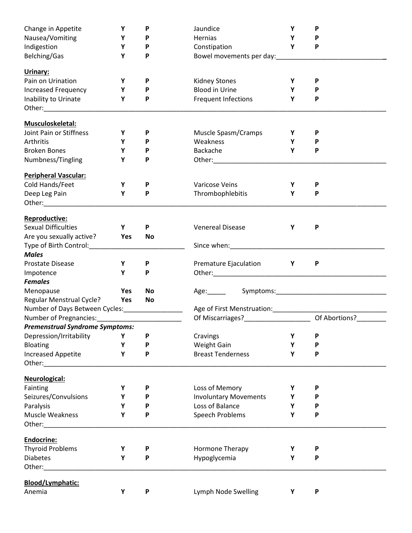| Change in Appetite                                                                                                                                                                                                                                          | Υ   | P         | Jaundice                     | Υ            | P            |  |  |
|-------------------------------------------------------------------------------------------------------------------------------------------------------------------------------------------------------------------------------------------------------------|-----|-----------|------------------------------|--------------|--------------|--|--|
| Nausea/Vomiting                                                                                                                                                                                                                                             | Υ   | P         | Hernias                      | Υ            | P            |  |  |
| Indigestion                                                                                                                                                                                                                                                 | Υ   | P         | Constipation                 | Y            | P            |  |  |
| Belching/Gas                                                                                                                                                                                                                                                | Y   | P         | Bowel movements per day:     |              |              |  |  |
| Urinary:                                                                                                                                                                                                                                                    |     |           |                              |              |              |  |  |
| Pain on Urination                                                                                                                                                                                                                                           | Υ   | P         | <b>Kidney Stones</b>         | Υ            | P            |  |  |
| Increased Frequency                                                                                                                                                                                                                                         | Υ   | P         | <b>Blood in Urine</b>        | Υ            | P            |  |  |
| Inability to Urinate                                                                                                                                                                                                                                        | Υ   | P         | Frequent Infections          | Υ            | P            |  |  |
|                                                                                                                                                                                                                                                             |     |           |                              |              |              |  |  |
| Musculoskeletal:                                                                                                                                                                                                                                            |     |           |                              |              |              |  |  |
| Joint Pain or Stiffness                                                                                                                                                                                                                                     | Υ   | P         | Muscle Spasm/Cramps          | Y            | P            |  |  |
| Arthritis                                                                                                                                                                                                                                                   | Y   | P         | Weakness                     | Y            | P            |  |  |
| <b>Broken Bones</b>                                                                                                                                                                                                                                         | Υ   | P         | Backache                     | Y            | P            |  |  |
| Numbness/Tingling                                                                                                                                                                                                                                           | Υ   | P         |                              |              |              |  |  |
| <b>Peripheral Vascular:</b>                                                                                                                                                                                                                                 |     |           |                              |              |              |  |  |
| Cold Hands/Feet                                                                                                                                                                                                                                             | Υ   | P         | Varicose Veins               | Υ            | P            |  |  |
| Deep Leg Pain                                                                                                                                                                                                                                               | Υ   | P         | Thrombophlebitis             | Υ            | $\mathsf{P}$ |  |  |
|                                                                                                                                                                                                                                                             |     |           |                              |              |              |  |  |
| Reproductive:                                                                                                                                                                                                                                               |     |           |                              |              |              |  |  |
| <b>Sexual Difficulties</b>                                                                                                                                                                                                                                  | Y   | P         | <b>Venereal Disease</b>      | Υ            | P            |  |  |
| Are you sexually active?                                                                                                                                                                                                                                    | Yes | <b>No</b> |                              |              |              |  |  |
| Type of Birth Control: Type of Birth Control:                                                                                                                                                                                                               |     |           |                              |              |              |  |  |
| <b>Males</b>                                                                                                                                                                                                                                                |     |           |                              |              |              |  |  |
| Prostate Disease                                                                                                                                                                                                                                            | Y   | P         | Premature Ejaculation        | $\mathsf{Y}$ | P            |  |  |
| Impotence                                                                                                                                                                                                                                                   | Y   | P         |                              |              |              |  |  |
| <b>Females</b>                                                                                                                                                                                                                                              |     |           |                              |              |              |  |  |
| Menopause                                                                                                                                                                                                                                                   | Yes | <b>No</b> |                              |              |              |  |  |
| Regular Menstrual Cycle?                                                                                                                                                                                                                                    | Yes | No        |                              |              |              |  |  |
| Number of Days Between Cycles:_________________                                                                                                                                                                                                             |     |           |                              |              |              |  |  |
|                                                                                                                                                                                                                                                             |     |           |                              |              |              |  |  |
| <b>Premenstrual Syndrome Symptoms:</b>                                                                                                                                                                                                                      |     |           |                              |              |              |  |  |
| Depression/Irritability                                                                                                                                                                                                                                     | Υ   | P         | Cravings                     | Υ            | P            |  |  |
| Bloating                                                                                                                                                                                                                                                    | Υ   | P         | Weight Gain                  | Υ            | P            |  |  |
| <b>Increased Appetite</b><br>Other: and the state of the state of the state of the state of the state of the state of the state of the state of the state of the state of the state of the state of the state of the state of the state of the state of the | Y   | P         | <b>Breast Tenderness</b>     | Υ            | P            |  |  |
| Neurological:                                                                                                                                                                                                                                               |     |           |                              |              |              |  |  |
| Fainting                                                                                                                                                                                                                                                    | Υ   | P         | Loss of Memory               | Υ            | P            |  |  |
| Seizures/Convulsions                                                                                                                                                                                                                                        | Υ   | P         | <b>Involuntary Movements</b> | Υ            | P            |  |  |
| Paralysis                                                                                                                                                                                                                                                   | Υ   | P         | Loss of Balance              | Y            | P            |  |  |
| <b>Muscle Weakness</b>                                                                                                                                                                                                                                      | Υ   | P         | Speech Problems              | Υ            | P            |  |  |
| Other: <b>Communist Communist Communist Communist Communist Communist Communist Communist Communist Communist Communist Communist Communist Communist Communist Communist Communist Communist Communist Communist Communist Comm</b>                        |     |           |                              |              |              |  |  |
| Endocrine:                                                                                                                                                                                                                                                  |     |           |                              |              |              |  |  |
| <b>Thyroid Problems</b>                                                                                                                                                                                                                                     | Υ   | P         | Hormone Therapy              | Υ            | P            |  |  |
| <b>Diabetes</b>                                                                                                                                                                                                                                             | Y   | P         | Hypoglycemia                 | Y            | P            |  |  |
| Other:                                                                                                                                                                                                                                                      |     |           |                              |              |              |  |  |
| Blood/Lymphatic:                                                                                                                                                                                                                                            |     |           |                              |              |              |  |  |
| Anemia                                                                                                                                                                                                                                                      | Υ   | P         | Lymph Node Swelling          | Υ            | P            |  |  |
|                                                                                                                                                                                                                                                             |     |           |                              |              |              |  |  |